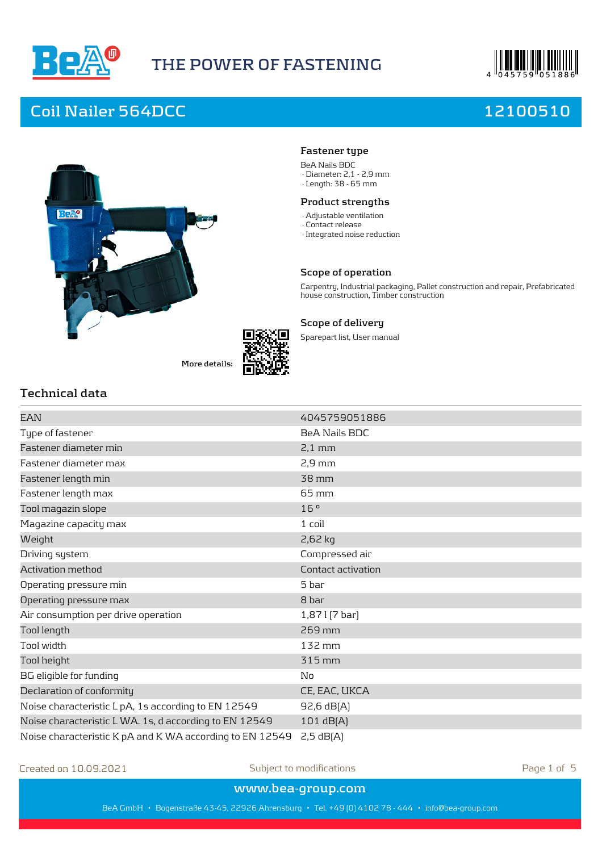

# **THE POWER OF FASTENING**



# **Coil Nailer 564DCC 12100510**



**More details:**



### **Fastener type**

BeA Nails BDC · Diameter: 2,1 - 2,9 mm

· Length: 38 - 65 mm

### **Product strengths**

- · Adjustable ventilation
- · Contact release
- · Integrated noise reduction

#### **Scope of operation**

Carpentry, Industrial packaging, Pallet construction and repair, Prefabricated house construction, Timber construction

### **Scope of delivery**

Sparepart list, User manual

## **Technical data**

| EAN                                                      | 4045759051886        |
|----------------------------------------------------------|----------------------|
| Type of fastener                                         | <b>BeA Nails BDC</b> |
| Fastener diameter min                                    | $2,1$ mm             |
| Fastener diameter max                                    | $2,9$ mm             |
| Fastener length min                                      | 38 mm                |
| Fastener length max                                      | $65 \,\mathrm{mm}$   |
| Tool magazin slope                                       | 16°                  |
| Magazine capacity max                                    | $1$ coil             |
| Weight                                                   | 2,62 kg              |
| Driving system                                           | Compressed air       |
| Activation method                                        | Contact activation   |
| Operating pressure min                                   | 5 bar                |
| Operating pressure max                                   | 8 bar                |
| Air consumption per drive operation                      | $1,87$   $[7$ bar]   |
| Tool length                                              | 269 mm               |
| Tool width                                               | 132 mm               |
| Tool height                                              | 315 mm               |
| BG eligible for funding                                  | No                   |
| Declaration of conformity                                | CE, EAC, UKCA        |
| Noise characteristic L pA, 1s according to EN 12549      | 92,6 dB(A)           |
| Noise characteristic LWA. 1s, d according to EN 12549    | 101 dB[A]            |
| Noise characteristic K pA and K WA according to EN 12549 | $2,5$ dB $[A]$       |

Created on 10.09.2021 Subject to modifications Page 1 of 5

**www.bea-group.com**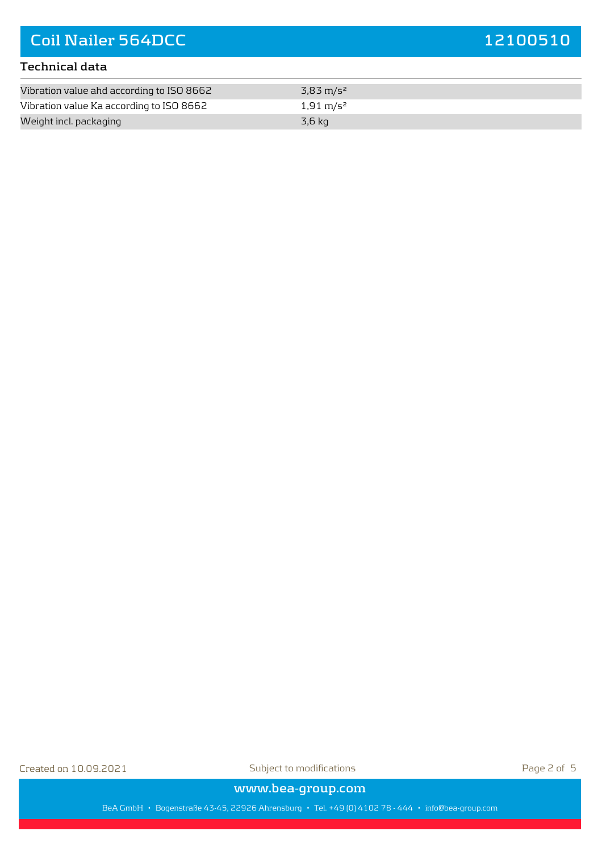### **Technical data**

| Vibration value ahd according to ISO 8662 | 3,83 m/s <sup>2</sup> |  |
|-------------------------------------------|-----------------------|--|
| Vibration value Ka according to ISO 8662  | 1,91 m/s <sup>2</sup> |  |
| Weight incl. packaging                    | 3,6 kg                |  |

Created on 10.09.2021 Subject to modifications Page 2 of 5

**www.bea-group.com**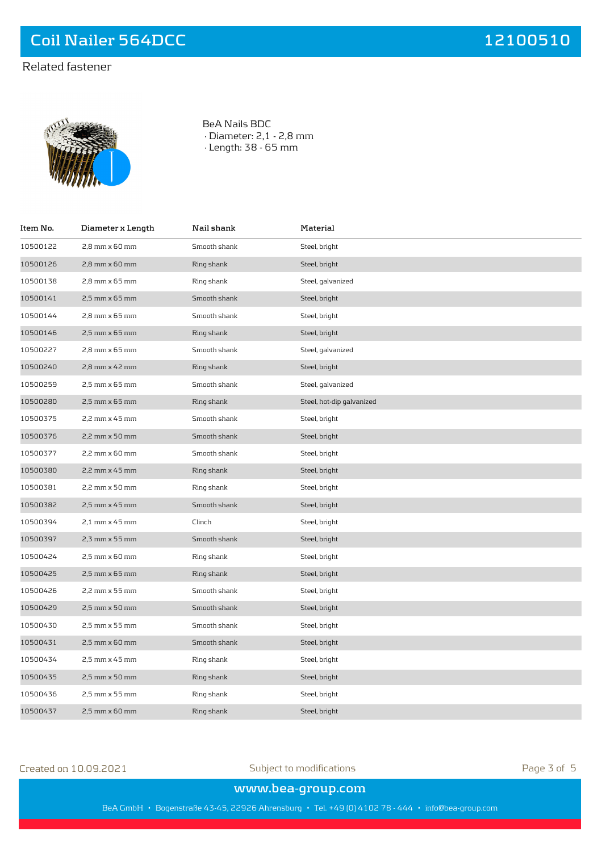## Related fastener



BeA Nails BDC · Diameter: 2,1 - 2,8 mm · Length: 38 - 65 mm

| Item No. | Diameter x Length  | Nail shank   | Material                  |
|----------|--------------------|--------------|---------------------------|
| 10500122 | 2,8 mm x 60 mm     | Smooth shank | Steel, bright             |
| 10500126 | 2,8 mm x 60 mm     | Ring shank   | Steel, bright             |
| 10500138 | 2,8 mm x 65 mm     | Ring shank   | Steel, galvanized         |
| 10500141 | 2,5 mm x 65 mm     | Smooth shank | Steel, bright             |
| 10500144 | 2,8 mm x 65 mm     | Smooth shank | Steel, bright             |
| 10500146 | $2,5$ mm $x$ 65 mm | Ring shank   | Steel, bright             |
| 10500227 | 2,8 mm x 65 mm     | Smooth shank | Steel, galvanized         |
| 10500240 | $2,8$ mm $x$ 42 mm | Ring shank   | Steel, bright             |
| 10500259 | 2,5 mm x 65 mm     | Smooth shank | Steel, galvanized         |
| 10500280 | 2,5 mm x 65 mm     | Ring shank   | Steel, hot-dip galvanized |
| 10500375 | 2,2 mm x 45 mm     | Smooth shank | Steel, bright             |
| 10500376 | 2,2 mm x 50 mm     | Smooth shank | Steel, bright             |
| 10500377 | 2,2 mm x 60 mm     | Smooth shank | Steel, bright             |
| 10500380 | $2,2$ mm $x$ 45 mm | Ring shank   | Steel, bright             |
| 10500381 | 2,2 mm x 50 mm     | Ring shank   | Steel, bright             |
| 10500382 | 2,5 mm x 45 mm     | Smooth shank | Steel, bright             |
| 10500394 | $2,1$ mm $x$ 45 mm | Clinch       | Steel, bright             |
| 10500397 | 2,3 mm x 55 mm     | Smooth shank | Steel, bright             |
| 10500424 | 2,5 mm x 60 mm     | Ring shank   | Steel, bright             |
| 10500425 | $2.5$ mm $x$ 65 mm | Ring shank   | Steel, bright             |
| 10500426 | 2,2 mm x 55 mm     | Smooth shank | Steel, bright             |
| 10500429 | 2,5 mm x 50 mm     | Smooth shank | Steel, bright             |
| 10500430 | 2,5 mm x 55 mm     | Smooth shank | Steel, bright             |
| 10500431 | 2,5 mm x 60 mm     | Smooth shank | Steel, bright             |
| 10500434 | 2,5 mm x 45 mm     | Ring shank   | Steel, bright             |
| 10500435 | $2.5$ mm $x$ 50 mm | Ring shank   | Steel, bright             |
| 10500436 | 2,5 mm x 55 mm     | Ring shank   | Steel, bright             |
| 10500437 | 2,5 mm x 60 mm     | Ring shank   | Steel, bright             |

Created on 10.09.2021 Subject to modifications Page 3 of 5

### **www.bea-group.com**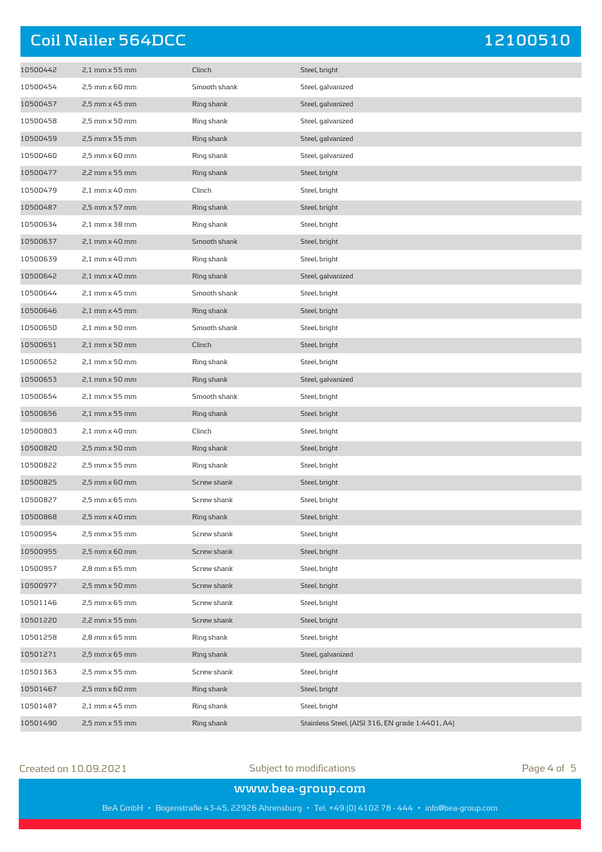| 10500442 | 2,1 mm x 55 mm | Clinch       | Steel, bright                                    |
|----------|----------------|--------------|--------------------------------------------------|
| 10500454 | 2,5 mm x 60 mm | Smooth shank | Steel, galvanized                                |
| 10500457 | 2,5 mm x 45 mm | Ring shank   | Steel, galvanized                                |
| 10500458 | 2,5 mm x 50 mm | Ring shank   | Steel, galvanized                                |
| 10500459 | 2,5 mm x 55 mm | Ring shank   | Steel, galvanized                                |
| 10500460 | 2,5 mm x 60 mm | Ring shank   | Steel, galvanized                                |
| 10500477 | 2,2 mm x 55 mm | Ring shank   | Steel, bright                                    |
| 10500479 | 2,1 mm x 40 mm | Clinch       | Steel, bright                                    |
| 10500487 | 2,5 mm x 57 mm | Ring shank   | Steel, bright                                    |
| 10500634 | 2,1 mm x 38 mm | Ring shank   | Steel, bright                                    |
| 10500637 | 2,1 mm x 40 mm | Smooth shank | Steel, bright                                    |
| 10500639 | 2,1 mm x 40 mm | Ring shank   | Steel, bright                                    |
| 10500642 | 2,1 mm x 40 mm | Ring shank   | Steel, galvanized                                |
| 10500644 | 2,1 mm x 45 mm | Smooth shank | Steel, bright                                    |
| 10500646 | 2,1 mm x 45 mm | Ring shank   | Steel, bright                                    |
| 10500650 | 2,1 mm x 50 mm | Smooth shank | Steel, bright                                    |
| 10500651 | 2,1 mm x 50 mm | Clinch       | Steel, bright                                    |
| 10500652 | 2,1 mm x 50 mm | Ring shank   | Steel, bright                                    |
| 10500653 | 2,1 mm x 50 mm | Ring shank   | Steel, galvanized                                |
| 10500654 | 2,1 mm x 55 mm | Smooth shank | Steel, bright                                    |
| 10500656 | 2,1 mm x 55 mm | Ring shank   | Steel, bright                                    |
| 10500803 | 2,1 mm x 40 mm | Clinch       | Steel, bright                                    |
| 10500820 | 2,5 mm x 50 mm | Ring shank   | Steel, bright                                    |
| 10500822 | 2,5 mm x 55 mm | Ring shank   | Steel, bright                                    |
| 10500825 | 2,5 mm x 60 mm | Screw shank  | Steel, bright                                    |
| 10500827 | 2,5 mm x 65 mm | Screw shank  | Steel, bright                                    |
| 10500868 | 2,5 mm x 40 mm | Ring shank   | Steel, bright                                    |
| 10500954 | 2,5 mm x 55 mm | Screw shank  | Steel, bright                                    |
| 10500955 | 2,5 mm x 60 mm | Screw shank  | Steel, bright                                    |
| 10500957 | 2,8 mm x 65 mm | Screw shank  | Steel, bright                                    |
| 10500977 | 2,5 mm x 50 mm | Screw shank  | Steel, bright                                    |
| 10501146 | 2,5 mm x 65 mm | Screw shank  | Steel, bright                                    |
| 10501220 | 2,2 mm x 55 mm | Screw shank  | Steel, bright                                    |
| 10501258 | 2,8 mm x 65 mm | Ring shank   | Steel, bright                                    |
| 10501271 | 2,5 mm x 65 mm | Ring shank   | Steel, galvanized                                |
| 10501363 | 2,5 mm x 55 mm | Screw shank  | Steel, bright                                    |
| 10501467 | 2,5 mm x 60 mm | Ring shank   | Steel, bright                                    |
| 10501487 | 2,1 mm x 45 mm | Ring shank   | Steel, bright                                    |
| 10501490 | 2,5 mm x 55 mm | Ring shank   | Stainless Steel, [AISI 316, EN grade 1.4401, A4] |

## Created on 10.09.2021 Subject to modifications Page 4 of 5

## **www.bea-group.com**